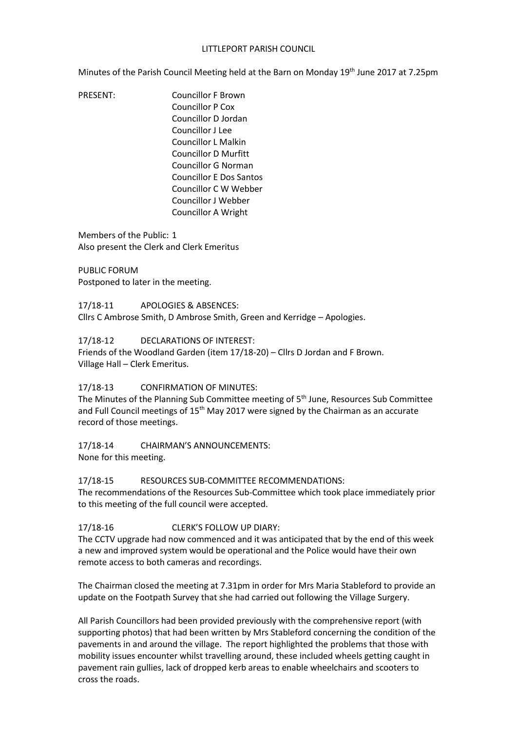### LITTLEPORT PARISH COUNCIL

Minutes of the Parish Council Meeting held at the Barn on Monday 19<sup>th</sup> June 2017 at 7.25pm

PRESENT: Councillor F Brown Councillor P Cox Councillor D Jordan Councillor J Lee Councillor L Malkin Councillor D Murfitt Councillor G Norman Councillor E Dos Santos Councillor C W Webber Councillor J Webber Councillor A Wright

Members of the Public: 1 Also present the Clerk and Clerk Emeritus

PUBLIC FORUM Postponed to later in the meeting.

17/18-11 APOLOGIES & ABSENCES: Cllrs C Ambrose Smith, D Ambrose Smith, Green and Kerridge – Apologies.

17/18-12 DECLARATIONS OF INTEREST:

Friends of the Woodland Garden (item 17/18-20) – Cllrs D Jordan and F Brown. Village Hall – Clerk Emeritus.

### 17/18-13 CONFIRMATION OF MINUTES:

The Minutes of the Planning Sub Committee meeting of 5<sup>th</sup> June, Resources Sub Committee and Full Council meetings of  $15<sup>th</sup>$  May 2017 were signed by the Chairman as an accurate record of those meetings.

# 17/18-14 CHAIRMAN'S ANNOUNCEMENTS:

None for this meeting.

### 17/18-15 RESOURCES SUB-COMMITTEE RECOMMENDATIONS:

The recommendations of the Resources Sub-Committee which took place immediately prior to this meeting of the full council were accepted.

### 17/18-16 CLERK'S FOLLOW UP DIARY:

The CCTV upgrade had now commenced and it was anticipated that by the end of this week a new and improved system would be operational and the Police would have their own remote access to both cameras and recordings.

The Chairman closed the meeting at 7.31pm in order for Mrs Maria Stableford to provide an update on the Footpath Survey that she had carried out following the Village Surgery.

All Parish Councillors had been provided previously with the comprehensive report (with supporting photos) that had been written by Mrs Stableford concerning the condition of the pavements in and around the village. The report highlighted the problems that those with mobility issues encounter whilst travelling around, these included wheels getting caught in pavement rain gullies, lack of dropped kerb areas to enable wheelchairs and scooters to cross the roads.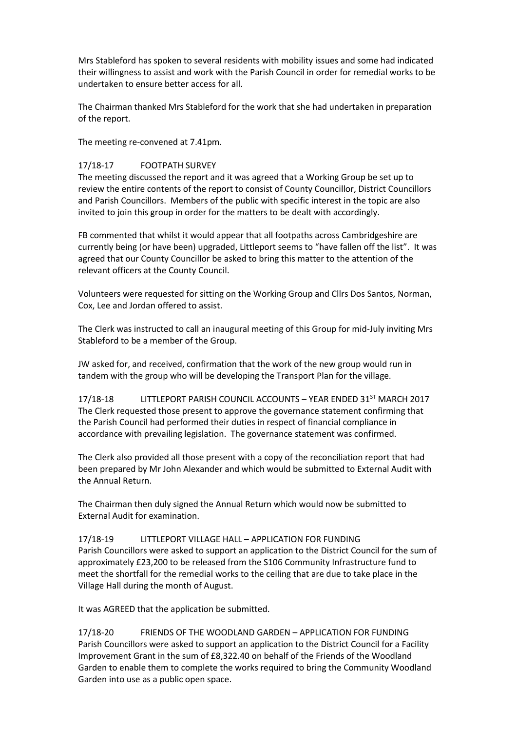Mrs Stableford has spoken to several residents with mobility issues and some had indicated their willingness to assist and work with the Parish Council in order for remedial works to be undertaken to ensure better access for all.

The Chairman thanked Mrs Stableford for the work that she had undertaken in preparation of the report.

The meeting re-convened at 7.41pm.

## 17/18-17 FOOTPATH SURVEY

The meeting discussed the report and it was agreed that a Working Group be set up to review the entire contents of the report to consist of County Councillor, District Councillors and Parish Councillors. Members of the public with specific interest in the topic are also invited to join this group in order for the matters to be dealt with accordingly.

FB commented that whilst it would appear that all footpaths across Cambridgeshire are currently being (or have been) upgraded, Littleport seems to "have fallen off the list". It was agreed that our County Councillor be asked to bring this matter to the attention of the relevant officers at the County Council.

Volunteers were requested for sitting on the Working Group and Cllrs Dos Santos, Norman, Cox, Lee and Jordan offered to assist.

The Clerk was instructed to call an inaugural meeting of this Group for mid-July inviting Mrs Stableford to be a member of the Group.

JW asked for, and received, confirmation that the work of the new group would run in tandem with the group who will be developing the Transport Plan for the village.

17/18-18 LITTLEPORT PARISH COUNCIL ACCOUNTS - YEAR ENDED 31<sup>ST</sup> MARCH 2017 The Clerk requested those present to approve the governance statement confirming that the Parish Council had performed their duties in respect of financial compliance in accordance with prevailing legislation. The governance statement was confirmed.

The Clerk also provided all those present with a copy of the reconciliation report that had been prepared by Mr John Alexander and which would be submitted to External Audit with the Annual Return.

The Chairman then duly signed the Annual Return which would now be submitted to External Audit for examination.

17/18-19 LITTLEPORT VILLAGE HALL – APPLICATION FOR FUNDING Parish Councillors were asked to support an application to the District Council for the sum of approximately £23,200 to be released from the S106 Community Infrastructure fund to meet the shortfall for the remedial works to the ceiling that are due to take place in the Village Hall during the month of August.

It was AGREED that the application be submitted.

17/18-20 FRIENDS OF THE WOODLAND GARDEN – APPLICATION FOR FUNDING Parish Councillors were asked to support an application to the District Council for a Facility Improvement Grant in the sum of £8,322.40 on behalf of the Friends of the Woodland Garden to enable them to complete the works required to bring the Community Woodland Garden into use as a public open space.